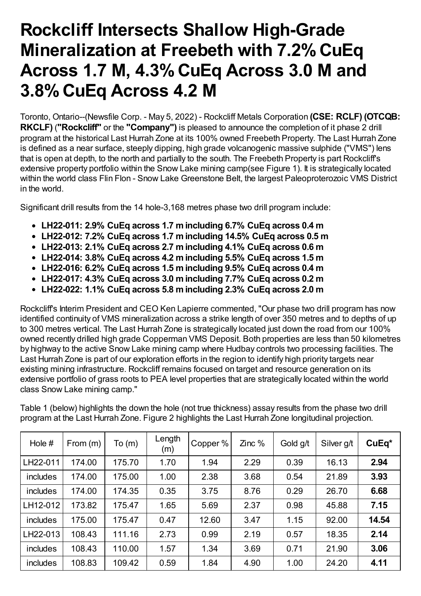# **Rockcliff Intersects Shallow High-Grade Mineralization at Freebeth with 7.2%CuEq Across 1.7 M, 4.3%CuEq Across 3.0 M and 3.8%CuEq Across 4.2 M**

Toronto, Ontario--(Newsfile Corp. - May 5, 2022) - Rockcliff Metals Corporation **(CSE: RCLF) (OTCQB: RKCLF)** (**"Rockcliff"** or the **"Company")** is pleased to announce the completion of it phase 2 drill program at the historical Last Hurrah Zone at its 100% owned Freebeth Property. The Last Hurrah Zone is defined as a near surface, steeply dipping, high grade volcanogenic massive sulphide ("VMS") lens that is open at depth, to the north and partially to the south. The Freebeth Property is part Rockcliff's extensive property portfolio within the Snow Lake mining camp(see Figure 1). It is strategically located within the world class Flin Flon - Snow Lake Greenstone Belt, the largest Paleoproterozoic VMS District in the world.

Significant drill results from the 14 hole-3,168 metres phase two drill program include:

- **LH22-011: 2.9% CuEq across 1.7 mincluding 6.7% CuEq across 0.4 m**
- **LH22-012: 7.2% CuEq across 1.7 mincluding 14.5% CuEq across 0.5 m**
- **LH22-013: 2.1% CuEq across 2.7 mincluding 4.1% CuEq across 0.6 m**
- **LH22-014: 3.8% CuEq across 4.2 mincluding 5.5% CuEq across 1.5 m**
- **LH22-016: 6.2% CuEq across 1.5 mincluding 9.5% CuEq across 0.4 m**
- **LH22-017: 4.3% CuEq across 3.0 mincluding 7.7% CuEq across 0.2 m**
- **LH22-022: 1.1% CuEq across 5.8 mincluding 2.3% CuEq across 2.0 m**

Rockcliff's Interim President and CEO Ken Lapierre commented, "Our phase two drill program has now identified continuity of VMS mineralization across a strike length of over 350 metres and to depths of up to 300 metres vertical. The Last Hurrah Zone is strategically located just down the road from our 100% owned recently drilled high grade Copperman VMS Deposit. Both properties are less than 50 kilometres by highway to the active Snow Lake mining camp where Hudbay controls two processing facilities. The Last Hurrah Zone is part of our exploration efforts in the region to identify high priority targets near existing mining infrastructure. Rockcliff remains focused on target and resource generation on its extensive portfolio of grass roots to PEA level properties that are strategically located within the world class Snow Lake mining camp."

Table 1 (below) highlights the down the hole (not true thickness) assay results from the phase two drill program at the Last Hurrah Zone. Figure 2 highlights the Last Hurrah Zone longitudinal projection.

| Hole $#$        | From $(m)$ | To(m)  | Length<br>(m) | Copper % | $Zinc$ % | Gold g/t | Silver g/t | CuEq* |
|-----------------|------------|--------|---------------|----------|----------|----------|------------|-------|
| LH22-011        | 174.00     | 175.70 | 1.70          | 1.94     | 2.29     | 0.39     | 16.13      | 2.94  |
| includes        | 174.00     | 175.00 | 1.00          | 2.38     | 3.68     | 0.54     | 21.89      | 3.93  |
| includes        | 174.00     | 174.35 | 0.35          | 3.75     | 8.76     | 0.29     | 26.70      | 6.68  |
| LH12-012        | 173.82     | 175.47 | 1.65          | 5.69     | 2.37     | 0.98     | 45.88      | 7.15  |
| includes        | 175.00     | 175.47 | 0.47          | 12.60    | 3.47     | 1.15     | 92.00      | 14.54 |
| LH22-013        | 108.43     | 111.16 | 2.73          | 0.99     | 2.19     | 0.57     | 18.35      | 2.14  |
| <i>includes</i> | 108.43     | 110.00 | 1.57          | 1.34     | 3.69     | 0.71     | 21.90      | 3.06  |
| includes        | 108.83     | 109.42 | 0.59          | 1.84     | 4.90     | 1.00     | 24.20      | 4.11  |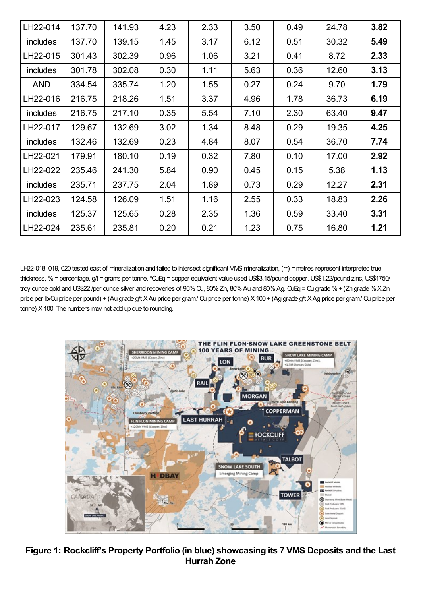| LH22-014   | 137.70 | 141.93 | 4.23 | 2.33 | 3.50 | 0.49 | 24.78 | 3.82 |
|------------|--------|--------|------|------|------|------|-------|------|
| includes   | 137.70 | 139.15 | 1.45 | 3.17 | 6.12 | 0.51 | 30.32 | 5.49 |
| LH22-015   | 301.43 | 302.39 | 0.96 | 1.06 | 3.21 | 0.41 | 8.72  | 2.33 |
| includes   | 301.78 | 302.08 | 0.30 | 1.11 | 5.63 | 0.36 | 12.60 | 3.13 |
| <b>AND</b> | 334.54 | 335.74 | 1.20 | 1.55 | 0.27 | 0.24 | 9.70  | 1.79 |
| LH22-016   | 216.75 | 218.26 | 1.51 | 3.37 | 4.96 | 1.78 | 36.73 | 6.19 |
| includes   | 216.75 | 217.10 | 0.35 | 5.54 | 7.10 | 2.30 | 63.40 | 9.47 |
| LH22-017   | 129.67 | 132.69 | 3.02 | 1.34 | 8.48 | 0.29 | 19.35 | 4.25 |
| includes   | 132.46 | 132.69 | 0.23 | 4.84 | 8.07 | 0.54 | 36.70 | 7.74 |
| LH22-021   | 179.91 | 180.10 | 0.19 | 0.32 | 7.80 | 0.10 | 17.00 | 2.92 |
| LH22-022   | 235.46 | 241.30 | 5.84 | 0.90 | 0.45 | 0.15 | 5.38  | 1.13 |
| includes   | 235.71 | 237.75 | 2.04 | 1.89 | 0.73 | 0.29 | 12.27 | 2.31 |
| LH22-023   | 124.58 | 126.09 | 1.51 | 1.16 | 2.55 | 0.33 | 18.83 | 2.26 |
| includes   | 125.37 | 125.65 | 0.28 | 2.35 | 1.36 | 0.59 | 33.40 | 3.31 |
| LH22-024   | 235.61 | 235.81 | 0.20 | 0.21 | 1.23 | 0.75 | 16.80 | 1.21 |

LH22-018, 019, 020 tested east of mineralization and failed to intersect significant VMS mineralization, (m) = metres represent interpreted true thickness, % = percentage, g/t = grams per tonne, \*QuEq = copper equivalent value used US\$3.15/pound copper, US\$1.22/pound zinc, US\$1750/ troy ounce gold and US\$22 /per ounce silver and recoveries of 95% Qu, 80% Zn, 80% Au and 80% Ag. QuEq = Qu grade % + (Zn grade % X Zn price per lb/Qu price per pound) + (Au grade g/t X Au price per gram/ Qu price per tonne) X 100 + (Ag grade g/t X Ag price per gram/ Qu price per tonne) X100. The numbers may not add up due to rounding.



**Figure 1: Rockcliff's Property Portfolio (in blue) showcasing its 7 VMS Deposits and the Last Hurrah Zone**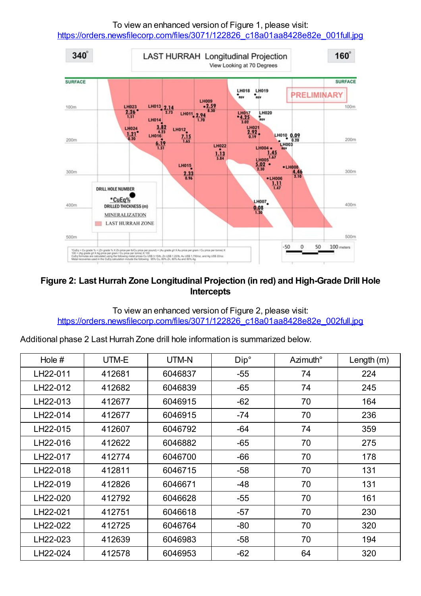To view an enhanced version of Figure 1, please visit:

[https://orders.newsfilecorp.com/files/3071/122826\\_c18a01aa8428e82e\\_001full.jpg](https://orders.newsfilecorp.com/files/3071/122826_c18a01aa8428e82e_001full.jpg)



# **Figure 2: Last Hurrah Zone Longitudinal Projection (in red) and High-Grade Drill Hole Intercepts**

#### To view an enhanced version of Figure 2, please visit: [https://orders.newsfilecorp.com/files/3071/122826\\_c18a01aa8428e82e\\_002full.jpg](https://orders.newsfilecorp.com/files/3071/122826_c18a01aa8428e82e_002full.jpg)

Additional phase 2 Last Hurrah Zone drill hole information is summarized below.

| Hole $#$ | UTM-E  | UTM-N   | Dip°  | Azimuth° | Length $(m)$ |
|----------|--------|---------|-------|----------|--------------|
| LH22-011 | 412681 | 6046837 | $-55$ | 74       | 224          |
| LH22-012 | 412682 | 6046839 | $-65$ | 74       | 245          |
| LH22-013 | 412677 | 6046915 | $-62$ | 70       | 164          |
| LH22-014 | 412677 | 6046915 | $-74$ | 70       | 236          |
| LH22-015 | 412607 | 6046792 | $-64$ | 74       | 359          |
| LH22-016 | 412622 | 6046882 | $-65$ | 70       | 275          |
| LH22-017 | 412774 | 6046700 | $-66$ | 70       | 178          |
| LH22-018 | 412811 | 6046715 | $-58$ | 70       | 131          |
| LH22-019 | 412826 | 6046671 | -48   | 70       | 131          |
| LH22-020 | 412792 | 6046628 | $-55$ | 70       | 161          |
| LH22-021 | 412751 | 6046618 | $-57$ | 70       | 230          |
| LH22-022 | 412725 | 6046764 | $-80$ | 70       | 320          |
| LH22-023 | 412639 | 6046983 | $-58$ | 70       | 194          |
| LH22-024 | 412578 | 6046953 | $-62$ | 64       | 320          |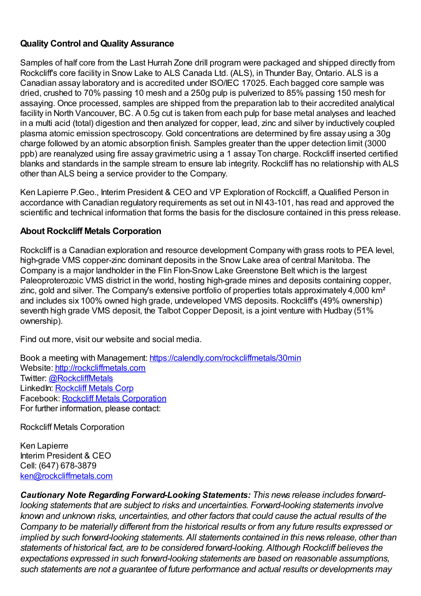# **Quality Control and Quality Assurance**

Samples of half core from the Last Hurrah Zone drill program were packaged and shipped directly from Rockcliff's core facility in Snow Lake to ALS Canada Ltd. (ALS), in Thunder Bay, Ontario. ALS is a Canadian assay laboratory and is accredited under ISO/IEC 17025. Each bagged core sample was dried, crushed to 70% passing 10 mesh and a 250g pulp is pulverized to 85% passing 150 mesh for assaying. Once processed, samples are shipped from the preparation lab to their accredited analytical facility in North Vancouver, BC. A 0.5g cut is taken from each pulp for base metal analyses and leached in a multi acid (total) digestion and then analyzed for copper, lead, zinc and silver by inductively coupled plasma atomic emission spectroscopy. Gold concentrations are determined by fire assay using a 30g charge followed by an atomic absorption finish. Samples greater than the upper detection limit (3000 ppb) are reanalyzed using fire assay gravimetric using a 1 assay Ton charge. Rockcliff inserted certified blanks and standards in the sample stream to ensure lab integrity. Rockcliff has no relationship with ALS other than ALS being a service provider to the Company.

Ken Lapierre P.Geo., Interim President & CEO and VP Exploration of Rockcliff, a Qualified Person in accordance with Canadian regulatory requirements as set out in NI 43-101, has read and approved the scientific and technical information that forms the basis for the disclosure contained in this press release.

# **About Rockcliff Metals Corporation**

Rockcliff is a Canadian exploration and resource development Company with grass roots to PEA level, high-grade VMS copper-zinc dominant deposits in the Snow Lake area of central Manitoba. The Company is a major landholder in the Flin Flon-Snow Lake Greenstone Belt which is the largest Paleoproterozoic VMS district in the world, hosting high-grade mines and deposits containing copper, zinc, gold and silver. The Company's extensive portfolio of properties totals approximately 4,000 km<sup>2</sup> and includes six 100% owned high grade, undeveloped VMS deposits. Rockcliff's (49% ownership) seventh high grade VMS deposit, the Talbot Copper Deposit, is a joint venture with Hudbay (51% ownership).

Find out more, visit our website and social media.

Book a meeting with Management: [https://calendly.com/rockcliffmetals/30min](https://www.newsfilecorp.com/redirect/2JZZyfMN87) Website: [http://rockcliffmetals.com](https://www.newsfilecorp.com/redirect/MZ55etVxDL) Twitter: [@RockcliffMetals](https://www.newsfilecorp.com/redirect/bAKKvCPYN4) LinkedIn: [Rockcliff](https://www.newsfilecorp.com/redirect/7ezE0UqV12) Metals Corp Facebook: Rockcliff Metals [Corporation](https://www.newsfilecorp.com/redirect/3eZZyt2NyR) For further information, please contact:

Rockcliff Metals Corporation

Ken Lapierre Interim President & CEO Cell: (647) 678-3879 [ken@rockcliffmetals.com](mailto:ken@rockcliffmetals.com)

*Cautionary Note Regarding Forward-Looking Statements: This news release includes forwardlooking statements that are subject to risks and uncertainties. Forward-looking statements involve known and unknown risks, uncertainties, and other factors that could cause the actual results of the Company to be materially different from the historical results or from any future results expressed or implied by such forward-looking statements. All statements contained in this news release, other than statements of historical fact, are to be considered forward-looking. Although Rockcliff believes the expectations expressed in such forward-looking statements are based on reasonable assumptions, such statements are not a guarantee of future performance and actual results or developments may*